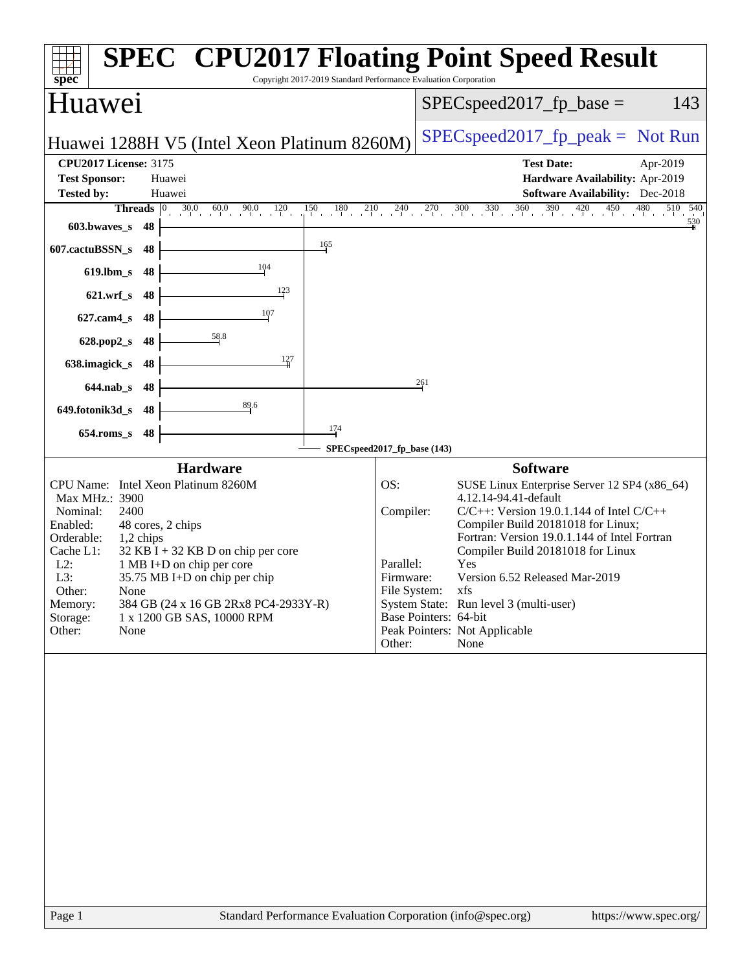| spec <sup>®</sup>                                                                                                                                                                                                                                                                                                                                                                                                       | <b>SPEC<sup>®</sup> CPU2017 Floating Point Speed Result</b><br>Copyright 2017-2019 Standard Performance Evaluation Corporation                                                                                                                                                                                                                                                                                                                                                                                              |                                                                                                                                                                                                                                                                                                                                                                                                                                             |                                                                                                                |
|-------------------------------------------------------------------------------------------------------------------------------------------------------------------------------------------------------------------------------------------------------------------------------------------------------------------------------------------------------------------------------------------------------------------------|-----------------------------------------------------------------------------------------------------------------------------------------------------------------------------------------------------------------------------------------------------------------------------------------------------------------------------------------------------------------------------------------------------------------------------------------------------------------------------------------------------------------------------|---------------------------------------------------------------------------------------------------------------------------------------------------------------------------------------------------------------------------------------------------------------------------------------------------------------------------------------------------------------------------------------------------------------------------------------------|----------------------------------------------------------------------------------------------------------------|
| Huawei                                                                                                                                                                                                                                                                                                                                                                                                                  |                                                                                                                                                                                                                                                                                                                                                                                                                                                                                                                             | $SPEC speed2017_fp\_base =$                                                                                                                                                                                                                                                                                                                                                                                                                 | 143                                                                                                            |
|                                                                                                                                                                                                                                                                                                                                                                                                                         | Huawei 1288H V5 (Intel Xeon Platinum 8260M)                                                                                                                                                                                                                                                                                                                                                                                                                                                                                 | $SPEC speed2017_fp\_peak = Not Run$                                                                                                                                                                                                                                                                                                                                                                                                         |                                                                                                                |
| <b>CPU2017 License: 3175</b><br><b>Test Sponsor:</b><br>Huawei<br><b>Tested by:</b><br>Huawei                                                                                                                                                                                                                                                                                                                           |                                                                                                                                                                                                                                                                                                                                                                                                                                                                                                                             | <b>Test Date:</b>                                                                                                                                                                                                                                                                                                                                                                                                                           | Apr-2019<br>Hardware Availability: Apr-2019<br><b>Software Availability:</b> Dec-2018                          |
| 603.bwaves_s 48<br>607.cactuBSSN_s<br>48<br>619.lbm_s 48<br>621.wrf_s 48<br>627.cam4_s 48<br>628.pop2_s 48<br>638.imagick_s 48<br>644.nab_s 48<br>649.fotonik3d_s 48<br>654.roms_s 48<br>CPU Name: Intel Xeon Platinum 8260M<br>Max MHz.: 3900<br>Nominal:<br>2400<br>Enabled:<br>48 cores, 2 chips<br>Orderable:<br>1,2 chips<br>Cache L1:<br>$L2$ :<br>L3:<br>Other:<br>None<br>Memory:<br>Storage:<br>Other:<br>None | <b>Threads</b> $\begin{bmatrix} 0 & 30.0 & 60.0 & 90.0 & 120 \\ 1 & 0 & 1 & 1 & 1 \end{bmatrix}$ $\begin{bmatrix} 180 & 210 & 240 & 270 & 300 & 330 & 360 & 390 & 420 & 450 & 480 \\ 1 & 1 & 1 & 1 & 1 & 1 \end{bmatrix}$<br>165<br>$\frac{104}{ }$<br>123<br>$\frac{107}{1}$<br>$\frac{58.8}{5}$<br>127<br>$\frac{89.6}{4}$<br>174<br>Hardware<br>$32$ KB I + 32 KB D on chip per core<br>1 MB I+D on chip per core<br>35.75 MB I+D on chip per chip<br>384 GB (24 x 16 GB 2Rx8 PC4-2933Y-R)<br>1 x 1200 GB SAS, 10000 RPM | 261<br>SPECspeed2017_fp_base (143)<br><b>Software</b><br>OS:<br>4.12.14-94.41-default<br>Compiler:<br>$C/C++$ : Version 19.0.1.144 of Intel $C/C++$<br>Compiler Build 20181018 for Linux;<br>Compiler Build 20181018 for Linux<br>Yes<br>Parallel:<br>Version 6.52 Released Mar-2019<br>Firmware:<br>File System: xfs<br>System State: Run level 3 (multi-user)<br>Base Pointers: 64-bit<br>Peak Pointers: Not Applicable<br>None<br>Other: | 510 540<br>530<br>SUSE Linux Enterprise Server 12 SP4 (x86_64)<br>Fortran: Version 19.0.1.144 of Intel Fortran |
|                                                                                                                                                                                                                                                                                                                                                                                                                         |                                                                                                                                                                                                                                                                                                                                                                                                                                                                                                                             |                                                                                                                                                                                                                                                                                                                                                                                                                                             |                                                                                                                |
| Page 1                                                                                                                                                                                                                                                                                                                                                                                                                  |                                                                                                                                                                                                                                                                                                                                                                                                                                                                                                                             | Standard Performance Evaluation Corporation (info@spec.org)                                                                                                                                                                                                                                                                                                                                                                                 | https://www.spec.org/                                                                                          |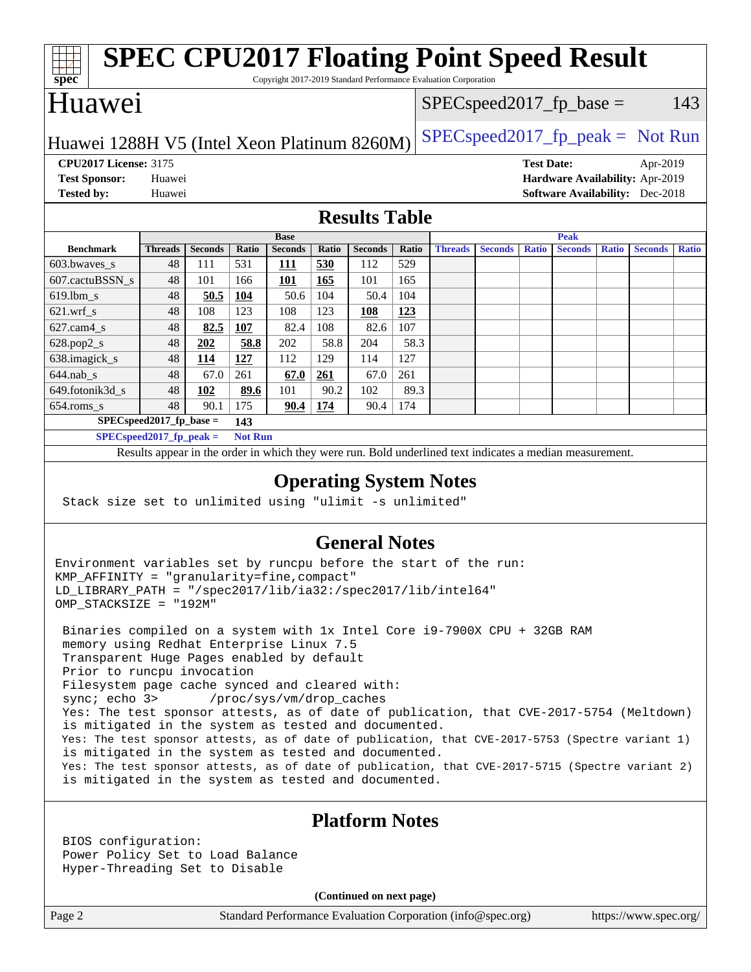| <b>SPEC CPU2017 Floating Point Speed Result</b><br>Spec<br>Copyright 2017-2019 Standard Performance Evaluation Corporation |                |                |       |                |        |                |                |                |                |                   |                |              |                                        |              |
|----------------------------------------------------------------------------------------------------------------------------|----------------|----------------|-------|----------------|--------|----------------|----------------|----------------|----------------|-------------------|----------------|--------------|----------------------------------------|--------------|
| Huawei<br>143<br>$SPEC speed2017_fp\_base =$                                                                               |                |                |       |                |        |                |                |                |                |                   |                |              |                                        |              |
| $SPEC speed2017fr peak = Not Run$<br>Huawei 1288H V5 (Intel Xeon Platinum 8260M)                                           |                |                |       |                |        |                |                |                |                |                   |                |              |                                        |              |
| <b>CPU2017 License: 3175</b>                                                                                               |                |                |       |                |        |                |                |                |                | <b>Test Date:</b> |                |              | Apr-2019                               |              |
| <b>Test Sponsor:</b>                                                                                                       | Huawei         |                |       |                |        |                |                |                |                |                   |                |              | Hardware Availability: Apr-2019        |              |
| <b>Tested by:</b>                                                                                                          | Huawei         |                |       |                |        |                |                |                |                |                   |                |              | <b>Software Availability:</b> Dec-2018 |              |
| <b>Results Table</b>                                                                                                       |                |                |       |                |        |                |                |                |                |                   |                |              |                                        |              |
|                                                                                                                            |                |                |       | <b>Base</b>    |        |                |                |                |                |                   | <b>Peak</b>    |              |                                        |              |
| <b>Benchmark</b>                                                                                                           | <b>Threads</b> | <b>Seconds</b> | Ratio | <b>Seconds</b> | Ratio  | <b>Seconds</b> | <b>Ratio</b>   | <b>Threads</b> | <b>Seconds</b> | <b>Ratio</b>      | <b>Seconds</b> | <b>Ratio</b> | <b>Seconds</b>                         | <b>Ratio</b> |
| 603.bwaves s                                                                                                               | 48             | 111            | 531   | 111            | 530    | 112            | 529            |                |                |                   |                |              |                                        |              |
| 607.cactuBSSN s                                                                                                            | 48             | 101            | 166   | 101            | 165    | 101            | 165            |                |                |                   |                |              |                                        |              |
| $619.$ lbm_s                                                                                                               | 48             | 50.5           | 104   | 50.6           | 104    | 50.4           | 104            |                |                |                   |                |              |                                        |              |
| $621.wrf$ <sub>s</sub>                                                                                                     | 48             | 108            | 123   | 108            | 123    | 108            | 123            |                |                |                   |                |              |                                        |              |
| $627.cam4$ s                                                                                                               | 48             | 82.5           | 107   | 82.4           | 108    | 82.6           | 107            |                |                |                   |                |              |                                        |              |
| $628.pop2_s$                                                                                                               | 48             | 202            | 58.8  | 202            | 58.8   | 204            | 58.3           |                |                |                   |                |              |                                        |              |
| 638.imagick_s                                                                                                              | 48             | 114            | 127   | 112            | 129    | 114            | 127            |                |                |                   |                |              |                                        |              |
| $644$ .nab s                                                                                                               | 48             | 67.0           | 261   | 67.0           | 261    | 67.0           | 261            |                |                |                   |                |              |                                        |              |
| 649.fotonik3d_s                                                                                                            | 48             | 102            | 89.6  | 101            | 90.2   | 102            | 89.3           |                |                |                   |                |              |                                        |              |
| 654.roms_s                                                                                                                 | 48             | 90.1           | 175   | 90.4           | 174    | 90.4           | 174            |                |                |                   |                |              |                                        |              |
| $SPECspeed2017_fp\_base =$<br>143                                                                                          |                |                |       |                |        |                |                |                |                |                   |                |              |                                        |              |
| $SPEC speed2017_fp_peak =$<br><b>Not Run</b>                                                                               |                |                |       |                |        |                |                |                |                |                   |                |              |                                        |              |
| Results appear in the order in which they were run. Bold underlined text indicates a median measurement.                   |                |                |       |                |        |                |                |                |                |                   |                |              |                                        |              |
| <b>Operating System Notes</b><br>Stack size set to unlimited using "ulimit -s unlimited"                                   |                |                |       |                |        |                |                |                |                |                   |                |              |                                        |              |
|                                                                                                                            |                |                |       |                | $\sim$ |                | $\blacksquare$ |                |                |                   |                |              |                                        |              |

## **[General Notes](http://www.spec.org/auto/cpu2017/Docs/result-fields.html#GeneralNotes)**

Environment variables set by runcpu before the start of the run: KMP\_AFFINITY = "granularity=fine,compact" LD\_LIBRARY\_PATH = "/spec2017/lib/ia32:/spec2017/lib/intel64" OMP\_STACKSIZE = "192M"

 Binaries compiled on a system with 1x Intel Core i9-7900X CPU + 32GB RAM memory using Redhat Enterprise Linux 7.5 Transparent Huge Pages enabled by default Prior to runcpu invocation Filesystem page cache synced and cleared with: sync; echo 3> /proc/sys/vm/drop\_caches Yes: The test sponsor attests, as of date of publication, that CVE-2017-5754 (Meltdown) is mitigated in the system as tested and documented. Yes: The test sponsor attests, as of date of publication, that CVE-2017-5753 (Spectre variant 1) is mitigated in the system as tested and documented. Yes: The test sponsor attests, as of date of publication, that CVE-2017-5715 (Spectre variant 2) is mitigated in the system as tested and documented.

## **[Platform Notes](http://www.spec.org/auto/cpu2017/Docs/result-fields.html#PlatformNotes)**

 BIOS configuration: Power Policy Set to Load Balance Hyper-Threading Set to Disable

**(Continued on next page)**

Page 2 Standard Performance Evaluation Corporation [\(info@spec.org\)](mailto:info@spec.org) <https://www.spec.org/>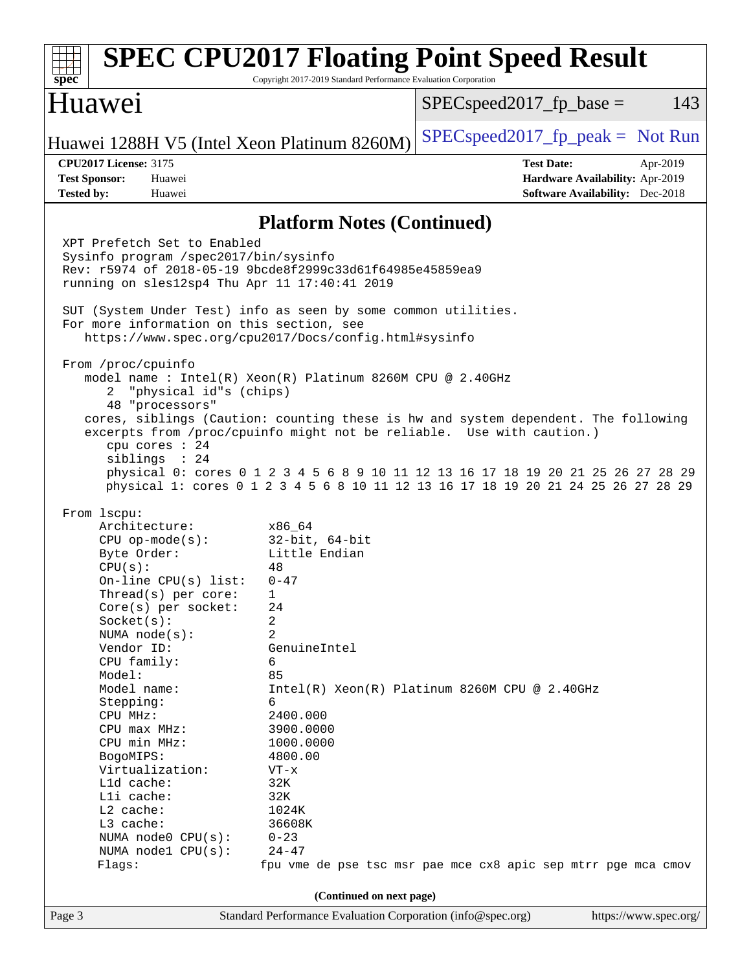| spec                                                                                                                                                                                                                                                                                                                                                                                                                                                                                                                                                                                                                                                                                                                                                                                                                                                                                                                                                                                                                                                                                                                                                                                                                                                                                                                                                                                                                                                                                                                                                                                   | Copyright 2017-2019 Standard Performance Evaluation Corporation | <b>SPEC CPU2017 Floating Point Speed Result</b>                                                            |  |  |  |
|----------------------------------------------------------------------------------------------------------------------------------------------------------------------------------------------------------------------------------------------------------------------------------------------------------------------------------------------------------------------------------------------------------------------------------------------------------------------------------------------------------------------------------------------------------------------------------------------------------------------------------------------------------------------------------------------------------------------------------------------------------------------------------------------------------------------------------------------------------------------------------------------------------------------------------------------------------------------------------------------------------------------------------------------------------------------------------------------------------------------------------------------------------------------------------------------------------------------------------------------------------------------------------------------------------------------------------------------------------------------------------------------------------------------------------------------------------------------------------------------------------------------------------------------------------------------------------------|-----------------------------------------------------------------|------------------------------------------------------------------------------------------------------------|--|--|--|
| Huawei                                                                                                                                                                                                                                                                                                                                                                                                                                                                                                                                                                                                                                                                                                                                                                                                                                                                                                                                                                                                                                                                                                                                                                                                                                                                                                                                                                                                                                                                                                                                                                                 |                                                                 | $SPEC speed2017fr base =$<br>143                                                                           |  |  |  |
| Huawei 1288H V5 (Intel Xeon Platinum 8260M)                                                                                                                                                                                                                                                                                                                                                                                                                                                                                                                                                                                                                                                                                                                                                                                                                                                                                                                                                                                                                                                                                                                                                                                                                                                                                                                                                                                                                                                                                                                                            |                                                                 | $SPEC speed2017fr peak = Not Run$                                                                          |  |  |  |
| <b>CPU2017 License: 3175</b><br><b>Test Sponsor:</b><br>Huawei<br><b>Tested by:</b><br>Huawei                                                                                                                                                                                                                                                                                                                                                                                                                                                                                                                                                                                                                                                                                                                                                                                                                                                                                                                                                                                                                                                                                                                                                                                                                                                                                                                                                                                                                                                                                          |                                                                 | <b>Test Date:</b><br>Apr-2019<br>Hardware Availability: Apr-2019<br><b>Software Availability:</b> Dec-2018 |  |  |  |
|                                                                                                                                                                                                                                                                                                                                                                                                                                                                                                                                                                                                                                                                                                                                                                                                                                                                                                                                                                                                                                                                                                                                                                                                                                                                                                                                                                                                                                                                                                                                                                                        |                                                                 |                                                                                                            |  |  |  |
| <b>Platform Notes (Continued)</b><br>XPT Prefetch Set to Enabled<br>Sysinfo program /spec2017/bin/sysinfo<br>Rev: r5974 of 2018-05-19 9bcde8f2999c33d61f64985e45859ea9<br>running on sles12sp4 Thu Apr 11 17:40:41 2019<br>SUT (System Under Test) info as seen by some common utilities.<br>For more information on this section, see<br>https://www.spec.org/cpu2017/Docs/config.html#sysinfo<br>From /proc/cpuinfo<br>model name: $Intel(R)$ Xeon(R) Platinum 8260M CPU @ 2.40GHz<br>"physical id"s (chips)<br>2<br>48 "processors"<br>cores, siblings (Caution: counting these is hw and system dependent. The following<br>excerpts from /proc/cpuinfo might not be reliable. Use with caution.)<br>cpu cores : 24<br>siblings : 24<br>physical 0: cores 0 1 2 3 4 5 6 8 9 10 11 12 13 16 17 18 19 20 21 25 26 27 28 29<br>physical 1: cores 0 1 2 3 4 5 6 8 10 11 12 13 16 17 18 19 20 21 24 25 26 27 28 29<br>From lscpu:<br>Architecture:<br>x86 64<br>$32$ -bit, $64$ -bit<br>$CPU$ op-mode( $s$ ):<br>Little Endian<br>Byte Order:<br>CPU(s):<br>48<br>On-line $CPU(s)$ list:<br>$0 - 47$<br>$Thread(s)$ per core:<br>1<br>Core(s) per socket:<br>24<br>Socket(s):<br>2<br>$\overline{a}$<br>NUMA $node(s)$ :<br>Vendor ID:<br>GenuineIntel<br>CPU family:<br>6<br>Model:<br>85<br>Intel(R) Xeon(R) Platinum 8260M CPU @ 2.40GHz<br>Model name:<br>6<br>Stepping:<br>CPU MHz:<br>2400.000<br>3900.0000<br>CPU max MHz:<br>CPU min MHz:<br>1000.0000<br>BogoMIPS:<br>4800.00<br>Virtualization:<br>$VT - x$<br>L1d cache:<br>32K<br>Lli cache:<br>32K<br>$L2$ cache:<br>1024K |                                                                 |                                                                                                            |  |  |  |
| L3 cache:<br>NUMA node0 CPU(s):                                                                                                                                                                                                                                                                                                                                                                                                                                                                                                                                                                                                                                                                                                                                                                                                                                                                                                                                                                                                                                                                                                                                                                                                                                                                                                                                                                                                                                                                                                                                                        | 36608K<br>$0 - 23$                                              |                                                                                                            |  |  |  |
| NUMA node1 CPU(s):<br>Flags:                                                                                                                                                                                                                                                                                                                                                                                                                                                                                                                                                                                                                                                                                                                                                                                                                                                                                                                                                                                                                                                                                                                                                                                                                                                                                                                                                                                                                                                                                                                                                           | $24 - 47$                                                       | fpu vme de pse tsc msr pae mce cx8 apic sep mtrr pge mca cmov                                              |  |  |  |
|                                                                                                                                                                                                                                                                                                                                                                                                                                                                                                                                                                                                                                                                                                                                                                                                                                                                                                                                                                                                                                                                                                                                                                                                                                                                                                                                                                                                                                                                                                                                                                                        | (Continued on next page)                                        |                                                                                                            |  |  |  |
| Page 3                                                                                                                                                                                                                                                                                                                                                                                                                                                                                                                                                                                                                                                                                                                                                                                                                                                                                                                                                                                                                                                                                                                                                                                                                                                                                                                                                                                                                                                                                                                                                                                 | Standard Performance Evaluation Corporation (info@spec.org)     | https://www.spec.org/                                                                                      |  |  |  |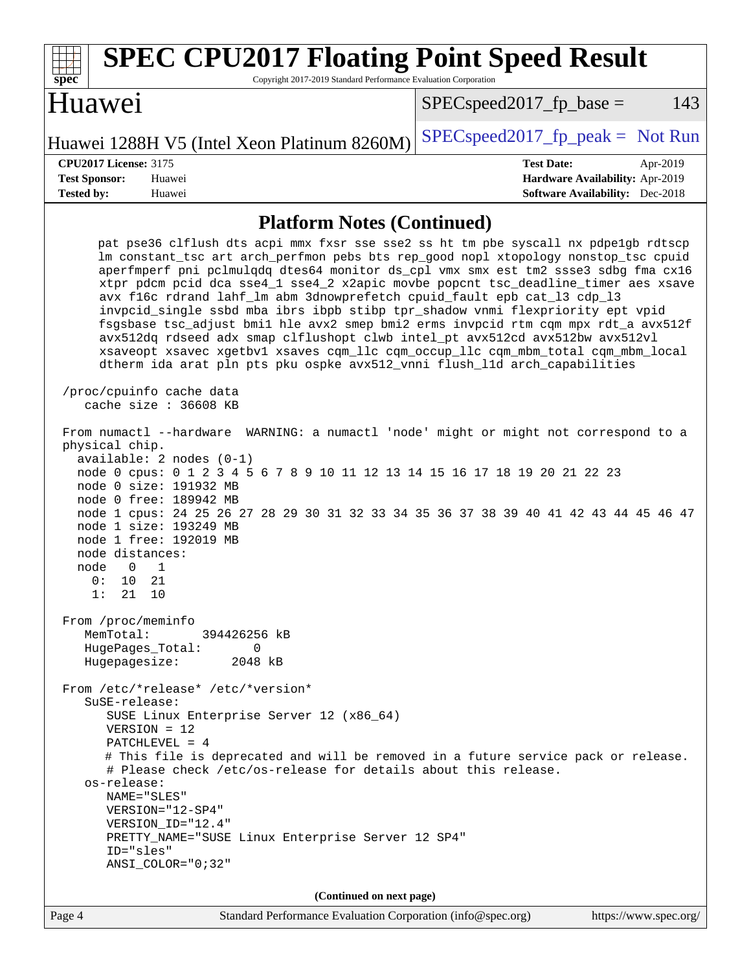| $SPEC speed2017_fp\_base =$<br>Huawei 1288H V5 (Intel Xeon Platinum 8260M)<br><b>Test Date:</b><br><b>CPU2017 License: 3175</b><br>Apr-2019<br><b>Test Sponsor:</b><br>Huawei<br>Hardware Availability: Apr-2019<br><b>Software Availability:</b> Dec-2018<br><b>Tested by:</b><br>Huawei<br><b>Platform Notes (Continued)</b><br>pat pse36 clflush dts acpi mmx fxsr sse sse2 ss ht tm pbe syscall nx pdpelgb rdtscp<br>lm constant_tsc art arch_perfmon pebs bts rep_good nopl xtopology nonstop_tsc cpuid<br>aperfmperf pni pclmulqdq dtes64 monitor ds_cpl vmx smx est tm2 ssse3 sdbg fma cx16<br>xtpr pdcm pcid dca sse4_1 sse4_2 x2apic movbe popcnt tsc_deadline_timer aes xsave<br>avx f16c rdrand lahf_lm abm 3dnowprefetch cpuid_fault epb cat_13 cdp_13<br>invpcid_single ssbd mba ibrs ibpb stibp tpr_shadow vnmi flexpriority ept vpid<br>fsgsbase tsc_adjust bmil hle avx2 smep bmi2 erms invpcid rtm cqm mpx rdt_a avx512f<br>avx512dq rdseed adx smap clflushopt clwb intel_pt avx512cd avx512bw avx512vl<br>xsaveopt xsavec xgetbvl xsaves cqm_llc cqm_occup_llc cqm_mbm_total cqm_mbm_local<br>dtherm ida arat pln pts pku ospke avx512_vnni flush_lld arch_capabilities<br>/proc/cpuinfo cache data<br>cache size : 36608 KB<br>From numactl --hardware<br>WARNING: a numactl 'node' might or might not correspond to a<br>physical chip.<br>$available: 2 nodes (0-1)$<br>node 0 cpus: 0 1 2 3 4 5 6 7 8 9 10 11 12 13 14 15 16 17 18 19 20 21 22 23<br>node 0 size: 191932 MB<br>node 0 free: 189942 MB<br>node 1 cpus: 24 25 26 27 28 29 30 31 32 33 34 35 36 37 38 39 40 41 42 43 44 45 46 47<br>node 1 size: 193249 MB<br>node 1 free: 192019 MB<br>node distances:<br>node<br>$\Omega$<br>1<br>10<br>21<br>0 :<br>1:<br>21 10<br>From /proc/meminfo<br>MemTotal:<br>394426256 kB<br>HugePages_Total:<br>$\Omega$<br>Hugepagesize:<br>2048 kB<br>From /etc/*release* /etc/*version*<br>$S$ uSE-release:<br>SUSE Linux Enterprise Server 12 (x86_64)<br>$VERSION = 12$<br>$PATCHLEVEL = 4$<br># This file is deprecated and will be removed in a future service pack or release.<br># Please check /etc/os-release for details about this release.<br>os-release:<br>NAME="SLES"<br>VERSION="12-SP4"<br>VERSION_ID="12.4"<br>PRETTY_NAME="SUSE Linux Enterprise Server 12 SP4"<br>ID="sles"<br>ANSI_COLOR="0;32"<br>(Continued on next page)<br>Standard Performance Evaluation Corporation (info@spec.org)<br>https://www.spec.org/<br>Page 4 | <b>SPEC CPU2017 Floating Point Speed Result</b><br>Copyright 2017-2019 Standard Performance Evaluation Corporation<br>$spec^*$ |                                   |
|-----------------------------------------------------------------------------------------------------------------------------------------------------------------------------------------------------------------------------------------------------------------------------------------------------------------------------------------------------------------------------------------------------------------------------------------------------------------------------------------------------------------------------------------------------------------------------------------------------------------------------------------------------------------------------------------------------------------------------------------------------------------------------------------------------------------------------------------------------------------------------------------------------------------------------------------------------------------------------------------------------------------------------------------------------------------------------------------------------------------------------------------------------------------------------------------------------------------------------------------------------------------------------------------------------------------------------------------------------------------------------------------------------------------------------------------------------------------------------------------------------------------------------------------------------------------------------------------------------------------------------------------------------------------------------------------------------------------------------------------------------------------------------------------------------------------------------------------------------------------------------------------------------------------------------------------------------------------------------------------------------------------------------------------------------------------------------------------------------------------------------------------------------------------------------------------------------------------------------------------------------------------------------------------------------------------------------------------------------------------------------------------------------------------------------------------------------------------------|--------------------------------------------------------------------------------------------------------------------------------|-----------------------------------|
|                                                                                                                                                                                                                                                                                                                                                                                                                                                                                                                                                                                                                                                                                                                                                                                                                                                                                                                                                                                                                                                                                                                                                                                                                                                                                                                                                                                                                                                                                                                                                                                                                                                                                                                                                                                                                                                                                                                                                                                                                                                                                                                                                                                                                                                                                                                                                                                                                                                                       | Huawei                                                                                                                         | 143                               |
|                                                                                                                                                                                                                                                                                                                                                                                                                                                                                                                                                                                                                                                                                                                                                                                                                                                                                                                                                                                                                                                                                                                                                                                                                                                                                                                                                                                                                                                                                                                                                                                                                                                                                                                                                                                                                                                                                                                                                                                                                                                                                                                                                                                                                                                                                                                                                                                                                                                                       |                                                                                                                                | $SPEC speed2017fr peak = Not Run$ |
|                                                                                                                                                                                                                                                                                                                                                                                                                                                                                                                                                                                                                                                                                                                                                                                                                                                                                                                                                                                                                                                                                                                                                                                                                                                                                                                                                                                                                                                                                                                                                                                                                                                                                                                                                                                                                                                                                                                                                                                                                                                                                                                                                                                                                                                                                                                                                                                                                                                                       |                                                                                                                                |                                   |
|                                                                                                                                                                                                                                                                                                                                                                                                                                                                                                                                                                                                                                                                                                                                                                                                                                                                                                                                                                                                                                                                                                                                                                                                                                                                                                                                                                                                                                                                                                                                                                                                                                                                                                                                                                                                                                                                                                                                                                                                                                                                                                                                                                                                                                                                                                                                                                                                                                                                       |                                                                                                                                |                                   |
|                                                                                                                                                                                                                                                                                                                                                                                                                                                                                                                                                                                                                                                                                                                                                                                                                                                                                                                                                                                                                                                                                                                                                                                                                                                                                                                                                                                                                                                                                                                                                                                                                                                                                                                                                                                                                                                                                                                                                                                                                                                                                                                                                                                                                                                                                                                                                                                                                                                                       |                                                                                                                                |                                   |
|                                                                                                                                                                                                                                                                                                                                                                                                                                                                                                                                                                                                                                                                                                                                                                                                                                                                                                                                                                                                                                                                                                                                                                                                                                                                                                                                                                                                                                                                                                                                                                                                                                                                                                                                                                                                                                                                                                                                                                                                                                                                                                                                                                                                                                                                                                                                                                                                                                                                       |                                                                                                                                |                                   |
|                                                                                                                                                                                                                                                                                                                                                                                                                                                                                                                                                                                                                                                                                                                                                                                                                                                                                                                                                                                                                                                                                                                                                                                                                                                                                                                                                                                                                                                                                                                                                                                                                                                                                                                                                                                                                                                                                                                                                                                                                                                                                                                                                                                                                                                                                                                                                                                                                                                                       |                                                                                                                                |                                   |
|                                                                                                                                                                                                                                                                                                                                                                                                                                                                                                                                                                                                                                                                                                                                                                                                                                                                                                                                                                                                                                                                                                                                                                                                                                                                                                                                                                                                                                                                                                                                                                                                                                                                                                                                                                                                                                                                                                                                                                                                                                                                                                                                                                                                                                                                                                                                                                                                                                                                       |                                                                                                                                |                                   |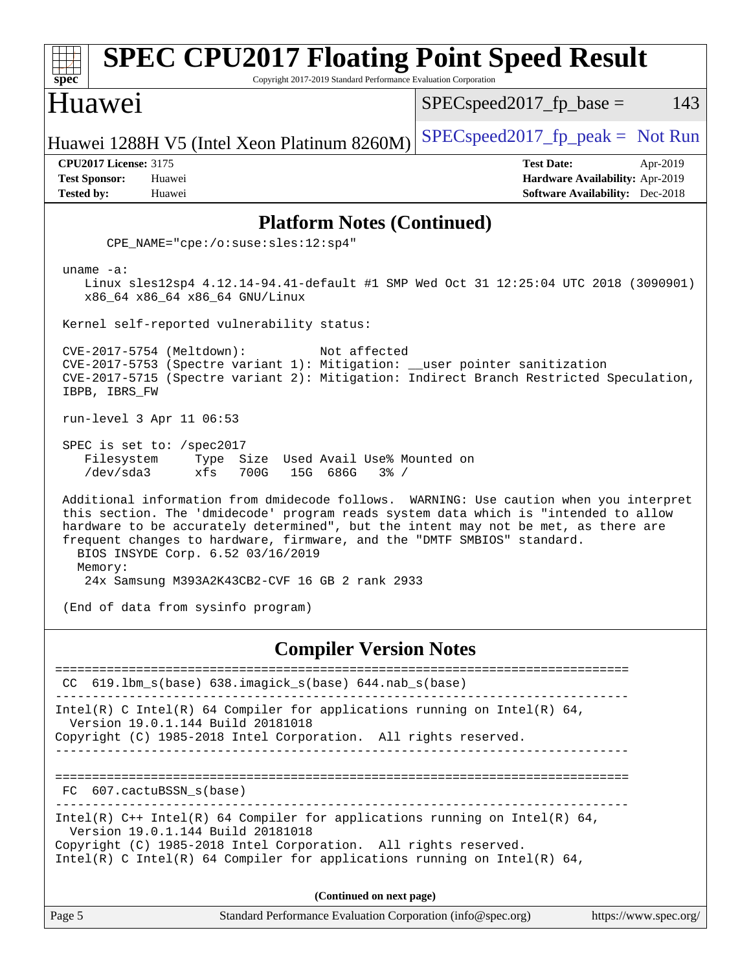| <b>SPEC CPU2017 Floating Point Speed Result</b><br>spec <sup>®</sup><br>Copyright 2017-2019 Standard Performance Evaluation Corporation                                                                                                                                                                                                                                             |                                                                                                            |  |  |  |  |
|-------------------------------------------------------------------------------------------------------------------------------------------------------------------------------------------------------------------------------------------------------------------------------------------------------------------------------------------------------------------------------------|------------------------------------------------------------------------------------------------------------|--|--|--|--|
| Huawei                                                                                                                                                                                                                                                                                                                                                                              | 143<br>$SPEC speed2017_fp\_base =$                                                                         |  |  |  |  |
| Huawei 1288H V5 (Intel Xeon Platinum 8260M)                                                                                                                                                                                                                                                                                                                                         | $SPEC speed2017fr peak = Not Run$                                                                          |  |  |  |  |
| <b>CPU2017 License: 3175</b><br><b>Test Sponsor:</b><br>Huawei<br><b>Tested by:</b><br>Huawei                                                                                                                                                                                                                                                                                       | <b>Test Date:</b><br>Apr-2019<br>Hardware Availability: Apr-2019<br><b>Software Availability:</b> Dec-2018 |  |  |  |  |
| <b>Platform Notes (Continued)</b>                                                                                                                                                                                                                                                                                                                                                   |                                                                                                            |  |  |  |  |
| CPE_NAME="cpe:/o:suse:sles:12:sp4"                                                                                                                                                                                                                                                                                                                                                  |                                                                                                            |  |  |  |  |
| uname $-a$ :<br>Linux sles12sp4 4.12.14-94.41-default #1 SMP Wed Oct 31 12:25:04 UTC 2018 (3090901)<br>x86_64 x86_64 x86_64 GNU/Linux                                                                                                                                                                                                                                               |                                                                                                            |  |  |  |  |
| Kernel self-reported vulnerability status:                                                                                                                                                                                                                                                                                                                                          |                                                                                                            |  |  |  |  |
| CVE-2017-5754 (Meltdown):<br>Not affected<br>CVE-2017-5753 (Spectre variant 1): Mitigation: __user pointer sanitization<br>CVE-2017-5715 (Spectre variant 2): Mitigation: Indirect Branch Restricted Speculation,<br>IBPB, IBRS_FW                                                                                                                                                  |                                                                                                            |  |  |  |  |
| run-level 3 Apr 11 06:53                                                                                                                                                                                                                                                                                                                                                            |                                                                                                            |  |  |  |  |
| SPEC is set to: /spec2017<br>Filesystem<br>Type Size Used Avail Use% Mounted on<br>/dev/sda3<br>xfs<br>700G<br>15G 686G<br>$3\frac{6}{6}$ /                                                                                                                                                                                                                                         |                                                                                                            |  |  |  |  |
| Additional information from dmidecode follows. WARNING: Use caution when you interpret<br>this section. The 'dmidecode' program reads system data which is "intended to allow<br>hardware to be accurately determined", but the intent may not be met, as there are<br>frequent changes to hardware, firmware, and the "DMTF SMBIOS" standard.<br>BIOS INSYDE Corp. 6.52 03/16/2019 |                                                                                                            |  |  |  |  |
| Memory:<br>24x Samsung M393A2K43CB2-CVF 16 GB 2 rank 2933                                                                                                                                                                                                                                                                                                                           |                                                                                                            |  |  |  |  |
| (End of data from sysinfo program)                                                                                                                                                                                                                                                                                                                                                  |                                                                                                            |  |  |  |  |
| <b>Compiler Version Notes</b>                                                                                                                                                                                                                                                                                                                                                       |                                                                                                            |  |  |  |  |
| 619.1bm_s(base) 638.imagick_s(base) 644.nab_s(base)<br>CC.                                                                                                                                                                                                                                                                                                                          |                                                                                                            |  |  |  |  |
| Intel(R) C Intel(R) 64 Compiler for applications running on Intel(R) 64,<br>Version 19.0.1.144 Build 20181018<br>Copyright (C) 1985-2018 Intel Corporation. All rights reserved.                                                                                                                                                                                                    |                                                                                                            |  |  |  |  |
|                                                                                                                                                                                                                                                                                                                                                                                     |                                                                                                            |  |  |  |  |
| FC 607.cactuBSSN_s(base)                                                                                                                                                                                                                                                                                                                                                            |                                                                                                            |  |  |  |  |
| Intel(R) $C++$ Intel(R) 64 Compiler for applications running on Intel(R) 64,<br>Version 19.0.1.144 Build 20181018<br>Copyright (C) 1985-2018 Intel Corporation. All rights reserved.<br>Intel(R) C Intel(R) 64 Compiler for applications running on Intel(R) 64,                                                                                                                    |                                                                                                            |  |  |  |  |
| (Continued on next page)                                                                                                                                                                                                                                                                                                                                                            |                                                                                                            |  |  |  |  |
| Page 5<br>Standard Performance Evaluation Corporation (info@spec.org)                                                                                                                                                                                                                                                                                                               | https://www.spec.org/                                                                                      |  |  |  |  |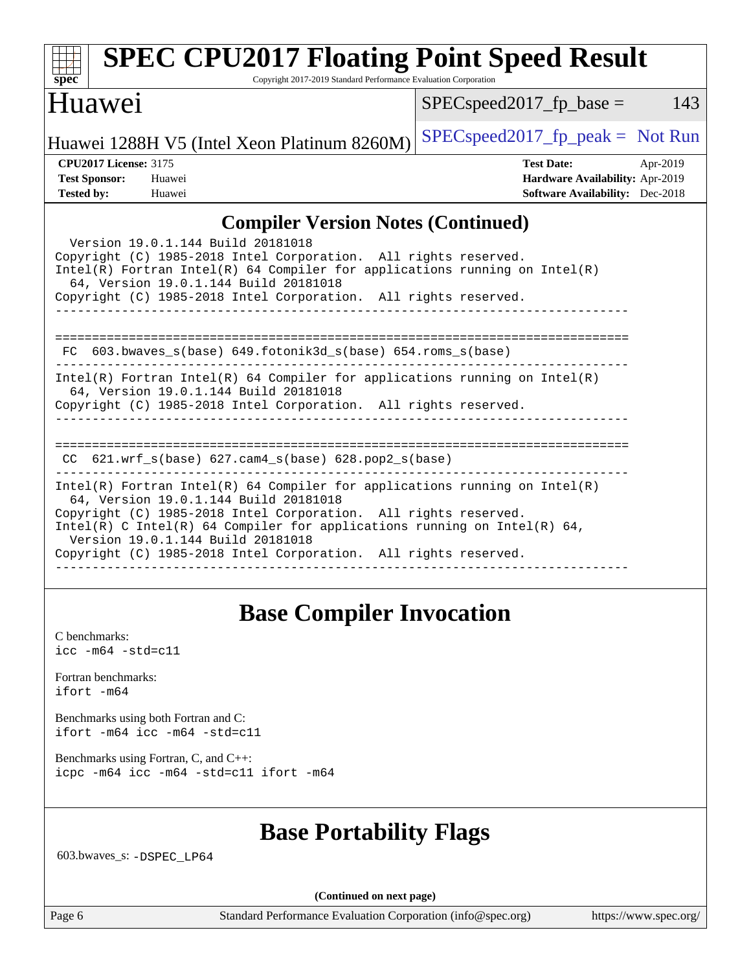| <b>SPEC CPU2017 Floating Point Speed Result</b><br>Copyright 2017-2019 Standard Performance Evaluation Corporation<br>$s\overline{pec}$                                                                                                                                                                                                                                                      |                                     |                                                                                                |          |
|----------------------------------------------------------------------------------------------------------------------------------------------------------------------------------------------------------------------------------------------------------------------------------------------------------------------------------------------------------------------------------------------|-------------------------------------|------------------------------------------------------------------------------------------------|----------|
| Huawei                                                                                                                                                                                                                                                                                                                                                                                       | $SPEC speed2017$ fp base =          |                                                                                                | 143      |
| Huawei 1288H V5 (Intel Xeon Platinum 8260M)                                                                                                                                                                                                                                                                                                                                                  | $SPEC speed2017_fp\_peak = Not Run$ |                                                                                                |          |
| <b>CPU2017 License: 3175</b><br><b>Test Sponsor:</b><br>Huawei<br><b>Tested by:</b><br>Huawei                                                                                                                                                                                                                                                                                                |                                     | <b>Test Date:</b><br>Hardware Availability: Apr-2019<br><b>Software Availability:</b> Dec-2018 | Apr-2019 |
| <b>Compiler Version Notes (Continued)</b>                                                                                                                                                                                                                                                                                                                                                    |                                     |                                                                                                |          |
| Version 19.0.1.144 Build 20181018<br>Copyright (C) 1985-2018 Intel Corporation. All rights reserved.<br>$Intel(R)$ Fortran Intel(R) 64 Compiler for applications running on Intel(R)<br>64, Version 19.0.1.144 Build 20181018<br>Copyright (C) 1985-2018 Intel Corporation. All rights reserved.                                                                                             |                                     |                                                                                                |          |
| FC 603.bwaves_s(base) 649.fotonik3d_s(base) 654.roms_s(base)                                                                                                                                                                                                                                                                                                                                 |                                     |                                                                                                |          |
| $Intel(R)$ Fortran Intel(R) 64 Compiler for applications running on Intel(R)<br>64, Version 19.0.1.144 Build 20181018<br>Copyright (C) 1985-2018 Intel Corporation. All rights reserved.                                                                                                                                                                                                     |                                     |                                                                                                |          |
| $621.wrf\_s(base)$ $627.cam4_s(base)$ $628.pop2_s(base)$<br>CC.                                                                                                                                                                                                                                                                                                                              |                                     |                                                                                                |          |
| $Intel(R)$ Fortran Intel(R) 64 Compiler for applications running on Intel(R)<br>64, Version 19.0.1.144 Build 20181018<br>Copyright (C) 1985-2018 Intel Corporation. All rights reserved.<br>Intel(R) C Intel(R) 64 Compiler for applications running on Intel(R) 64,<br>Version 19.0.1.144 Build 20181018<br>Copyright (C) 1985-2018 Intel Corporation. All rights reserved.<br>------------ |                                     |                                                                                                |          |

## **[Base Compiler Invocation](http://www.spec.org/auto/cpu2017/Docs/result-fields.html#BaseCompilerInvocation)**

[C benchmarks](http://www.spec.org/auto/cpu2017/Docs/result-fields.html#Cbenchmarks): [icc -m64 -std=c11](http://www.spec.org/cpu2017/results/res2019q2/cpu2017-20190428-12582.flags.html#user_CCbase_intel_icc_64bit_c11_33ee0cdaae7deeeab2a9725423ba97205ce30f63b9926c2519791662299b76a0318f32ddfffdc46587804de3178b4f9328c46fa7c2b0cd779d7a61945c91cd35)

[Fortran benchmarks](http://www.spec.org/auto/cpu2017/Docs/result-fields.html#Fortranbenchmarks): [ifort -m64](http://www.spec.org/cpu2017/results/res2019q2/cpu2017-20190428-12582.flags.html#user_FCbase_intel_ifort_64bit_24f2bb282fbaeffd6157abe4f878425411749daecae9a33200eee2bee2fe76f3b89351d69a8130dd5949958ce389cf37ff59a95e7a40d588e8d3a57e0c3fd751)

[Benchmarks using both Fortran and C](http://www.spec.org/auto/cpu2017/Docs/result-fields.html#BenchmarksusingbothFortranandC): [ifort -m64](http://www.spec.org/cpu2017/results/res2019q2/cpu2017-20190428-12582.flags.html#user_CC_FCbase_intel_ifort_64bit_24f2bb282fbaeffd6157abe4f878425411749daecae9a33200eee2bee2fe76f3b89351d69a8130dd5949958ce389cf37ff59a95e7a40d588e8d3a57e0c3fd751) [icc -m64 -std=c11](http://www.spec.org/cpu2017/results/res2019q2/cpu2017-20190428-12582.flags.html#user_CC_FCbase_intel_icc_64bit_c11_33ee0cdaae7deeeab2a9725423ba97205ce30f63b9926c2519791662299b76a0318f32ddfffdc46587804de3178b4f9328c46fa7c2b0cd779d7a61945c91cd35)

[Benchmarks using Fortran, C, and C++:](http://www.spec.org/auto/cpu2017/Docs/result-fields.html#BenchmarksusingFortranCandCXX) [icpc -m64](http://www.spec.org/cpu2017/results/res2019q2/cpu2017-20190428-12582.flags.html#user_CC_CXX_FCbase_intel_icpc_64bit_4ecb2543ae3f1412ef961e0650ca070fec7b7afdcd6ed48761b84423119d1bf6bdf5cad15b44d48e7256388bc77273b966e5eb805aefd121eb22e9299b2ec9d9) [icc -m64 -std=c11](http://www.spec.org/cpu2017/results/res2019q2/cpu2017-20190428-12582.flags.html#user_CC_CXX_FCbase_intel_icc_64bit_c11_33ee0cdaae7deeeab2a9725423ba97205ce30f63b9926c2519791662299b76a0318f32ddfffdc46587804de3178b4f9328c46fa7c2b0cd779d7a61945c91cd35) [ifort -m64](http://www.spec.org/cpu2017/results/res2019q2/cpu2017-20190428-12582.flags.html#user_CC_CXX_FCbase_intel_ifort_64bit_24f2bb282fbaeffd6157abe4f878425411749daecae9a33200eee2bee2fe76f3b89351d69a8130dd5949958ce389cf37ff59a95e7a40d588e8d3a57e0c3fd751)

## **[Base Portability Flags](http://www.spec.org/auto/cpu2017/Docs/result-fields.html#BasePortabilityFlags)**

603.bwaves\_s: [-DSPEC\\_LP64](http://www.spec.org/cpu2017/results/res2019q2/cpu2017-20190428-12582.flags.html#suite_basePORTABILITY603_bwaves_s_DSPEC_LP64)

**(Continued on next page)**

Page 6 Standard Performance Evaluation Corporation [\(info@spec.org\)](mailto:info@spec.org) <https://www.spec.org/>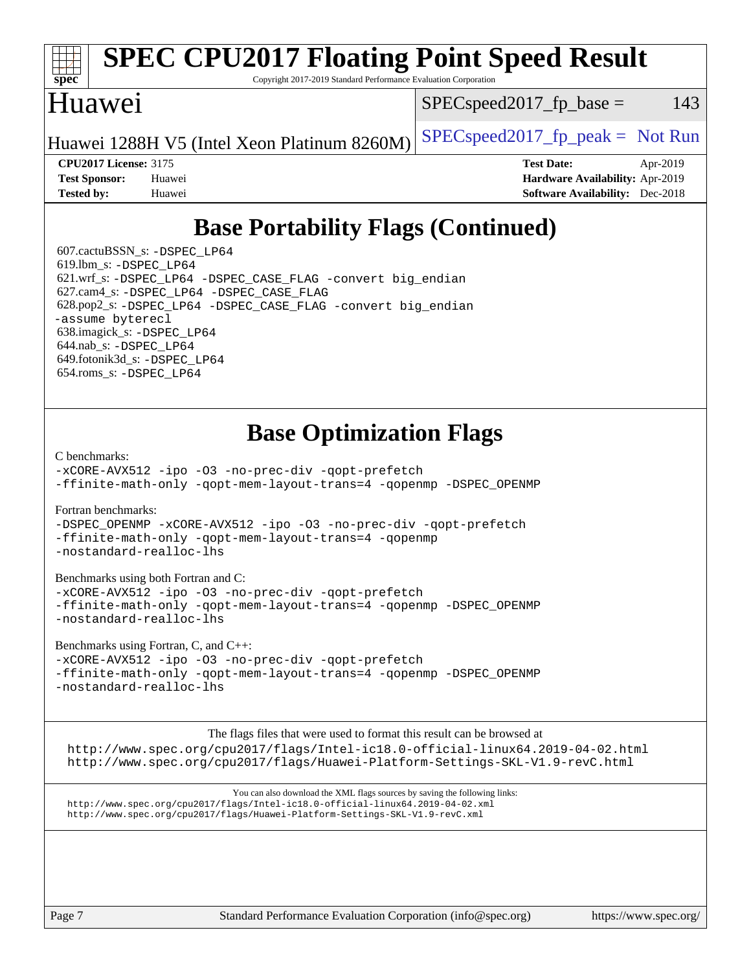

The flags files that were used to format this result can be browsed at <http://www.spec.org/cpu2017/flags/Intel-ic18.0-official-linux64.2019-04-02.html> <http://www.spec.org/cpu2017/flags/Huawei-Platform-Settings-SKL-V1.9-revC.html>

You can also download the XML flags sources by saving the following links: <http://www.spec.org/cpu2017/flags/Intel-ic18.0-official-linux64.2019-04-02.xml> <http://www.spec.org/cpu2017/flags/Huawei-Platform-Settings-SKL-V1.9-revC.xml>